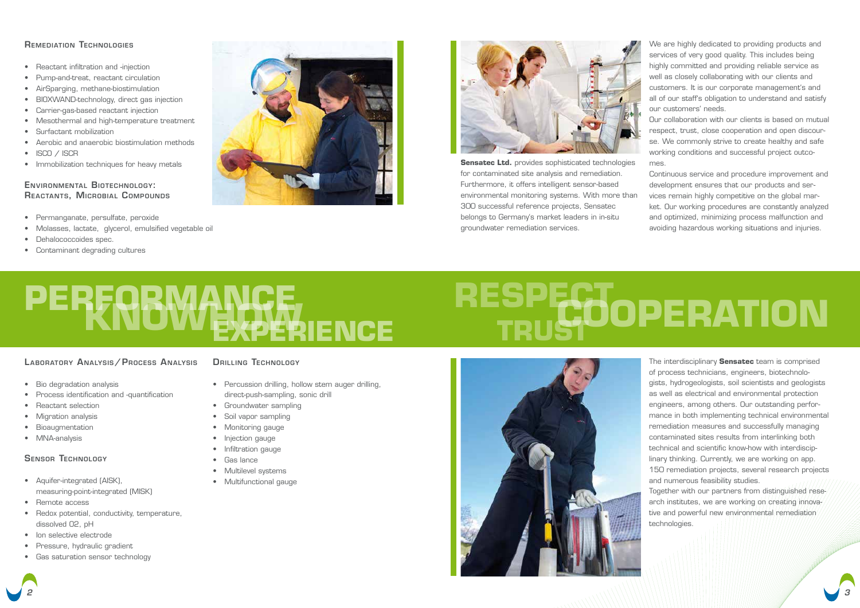The interdisciplinary **Sensatec** team is comprised of process technicians, engineers, biotechnologists, hydrogeologists, soil scientists and geologists as well as electrical and environmental protection engineers, among others. Our outstanding performance in both implementing technical environmental remediation measures and successfully managing contaminated sites results from interlinking both technical and scientific know-how with interdisciplinary thinking. Currently, we are working on app. 150 remediation projects, several research projects and numerous feasibility studies.

Together with our partners from distinguished/research institutes, we are working on creating innovative and powerful new environmental/remediation technologies.

**Sensatec Ltd.** provides sophisticated technologies for contaminated site analysis and remediation. Furthermore, it offers intelligent sensor-based environmental monitoring systems. With more than 300 successful reference projects, Sensatec belongs to Germany's market leaders in in-situ groundwater remediation services.

## **RESPECT TRUSTOOPERATION**



We are highly dedicated to providing products and services of very good quality. This includes being highly committed and providing reliable service as well as closely collaborating with our clients and customers. It is our corporate management's and all of our staff's obligation to understand and satisfy our customers' needs.

Our collaboration with our clients is based on mutual respect, trust, close cooperation and open discourse. We commonly strive to create healthy and safe working conditions and successful project outcomes.

- Percussion drilling, hollow stem auger drilling, direct-push-sampling, sonic drill
- Groundwater sampling
- Soil vapor sampling
- Monitoring gauge
- Injection gauge
- Infiltration gauge
- Gas lance
- Multilevel systems
- Multifunctional gauge

Continuous service and procedure improvement and development ensures that our products and services remain highly competitive on the global mar-

ket. Our working procedures are constantly analyzed and optimized, minimizing process malfunction and avoiding hazardous working situations and injuries.

*2 3*

## Remediation Technologies

- Reactant infiltration and -injection
- Pump-and-treat, reactant circulation
- AirSparging, methane-biostimulation
- BIOXWAND-technology, direct gas injection
- Carrier-gas-based reactant injection
- Mesothermal and high-temperature treatment
- Surfactant mobilization
- Aerobic and anaerobic biostimulation methods
- ISCO / ISCR
- Immobilization techniques for heavy metals

- Bio degradation analysis
- Process identification and -quantification
- Reactant selection
- Migration analysis
- Bioaugmentation
- MNA-analysis

## Environmental Biotechnology: Reactants, Microbial Compounds

- Permanganate, persulfate, peroxide
- Molasses, lactate, glycerol, emulsified vegetable oil
- Dehalococcoides spec.
- Contaminant degrading cultures





## Sensor Technology

- Aquifer-integrated (AISK), measuring-point-integrated (MISK)
- Remote access
- Redox potential, conductivity, temperature, dissolved O2, pH
- Ion selective electrode
- Pressure, hydraulic gradient
- Gas saturation sensor technology

## DRILLING TECHNOLOGY

# **PERFORMANCE KNOWHOW EXPERIENCE**

## LABORATORY ANALYSIS / PROCESS ANALYSIS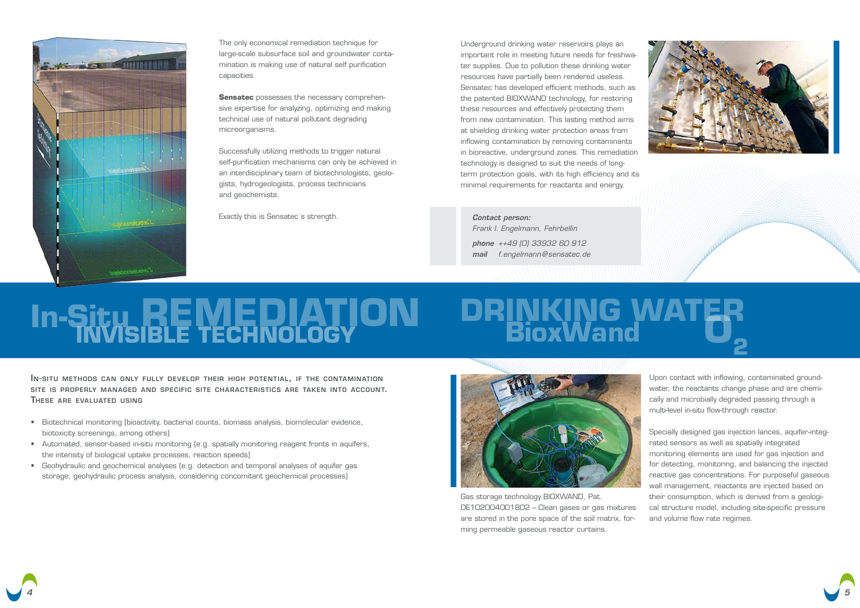

## **In-Situ REMEDIATION DRINKING WATER BioxWand O2 INVISIBLE TECHNOLOGY**



The only economical remediation technique for large-scale subsurface soil and groundwater contamination is making use of natural self purification capacities.

**Sensatec** possesses the necessary comprehensive expertise for analyzing, optimizing and making technical use of natural pollutant degrading microorganisms.

Successfully utilizing methods to trigger natural self-purification mechanisms can only be achieved in an interdisciplinary team of biotechnologists, geologists, hydrogeologists, process technicians and geochemists.

Exactly this is Sensatec's strength.

In-situ methods can only fully develop their high potential, if the contamination site is properly managed and specific site characteristics are taken into account. These are evaluated using

- Biotechnical monitoring (bioactivity, bacterial counts, biomass analysis, biomolecular evidence, biotoxicity screenings, among others)
- Automated, sensor-based in-situ monitoring (e.g. spatially monitoring reagent fronts in aquifers, the intensity of biological uptake processes, reaction speeds)
- Geohydraulic and geochemical analyses (e.g. detection and temporal analyses of aquifer gas storage, geohydraulic process analysis, considering concomitant geochemical processes)



Gas storage technology BIOXWAND, Pat. DE102004001802 – Clean gases or gas mixtures are stored in the pore space of the soil matrix, forming permeable gaseous reactor curtains.







Upon contact with inflowing, contaminated groundwater, the reactants change phase and are chemically and microbially degraded passing through a multi-level in-situ flow-through reactor.

Specially designed gas injection lances, aquifer-integrated sensors as well as spatially integrated monitoring elements are used for gas injection and for detecting, monitoring, and balancing the injected reactive gas concentrations. For purposeful gaseous wall management, reactants are injected based on their consumption, which is derived from a geological structure model, including site-specific pressure and volume flow rate regimes.

Underground drinking water reservoirs plays an important role in meeting future needs for freshwater supplies. Due to pollution these drinking water resources have partially been rendered useless. Sensatec has developed efficient methods, such as the patented BIOXWAND technology, for restoring these resources and effectively protecting them from new contamination. This lasting method aims at shielding drinking water protection areas from inflowing contamination by removing contaminants in bioreactive, underground zones. This remediation technology is designed to suit the needs of longterm protection goals, with its high efficiency and its minimal requirements for reactants and energy.

*Contact person: Frank I. Engelmann, Fehrbellin*

*phone ++49 (0) 33932 60 912 mail f.engelmann@sensatec.de*

 $\pm 11$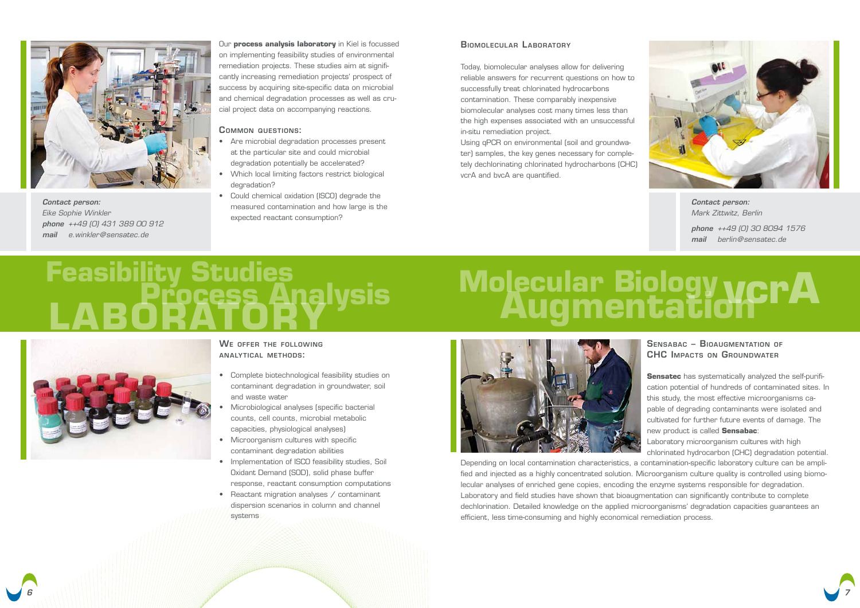

Our **process analysis laboratory** in Kiel is focussed on implementing feasibility studies of environmental remediation projects. These studies aim at significantly increasing remediation projects' prospect of success by acquiring site-specific data on microbial and chemical degradation processes as well as crucial project data on accompanying reactions.

## WE OFFER THE FOLLOWING analy tical methods:

- Complete biotechnological feasibility studies on contaminant degradation in groundwater, soil and waste water
- Microbiological analyses (specific bacterial counts, cell counts, microbial metabolic capacities, physiological analyses)
- Microorganism cultures with specific contaminant degradation abilities
- Implementation of ISCO feasibility studies, Soil Oxidant Demand (SOD), solid phase buffer response, reactant consumption computations
- Reactant migration analyses / contaminant dispersion scenarios in column and channel systems

## Molecular Biology ycrA



## Common questions:

- Are microbial degradation processes present at the particular site and could microbial degradation potentially be accelerated?
- Which local limiting factors restrict biological degradation?
- Could chemical oxidation (ISCO) degrade the measured contamination and how large is the expected reactant consumption?

## BIOMOLECULAR LABORATORY

**Sensatec** has systematically analyzed the self-purification potential of hundreds of contaminated sites. In this study, the most effective microorganisms capable of degrading contaminants were isolated and cultivated for further future events of damage. The new product is called **Sensabac**:

Today, biomolecular analyses allow for delivering reliable answers for recurrent questions on how to successfully treat chlorinated hydrocarbons contamination. These comparably inexpensive biomolecular analyses cost many times less than the high expenses associated with an unsuccessful in-situ remediation project.

Using qPCR on environmental (soil and groundwater) samples, the key genes necessary for completely dechlorinating chlorinated hydrocharbons (CHC) vcrA and bvcA are quantified.

# Feasibility Studies<br>**LABORATORYSIS**



## Sensabac – Bioaugmentation of CHC Impacts on Groundwater

Laboratory microorganism cultures with high chlorinated hydrocarbon (CHC) degradation potential. Depending on local contamination characteristics, a contamination-specific laboratory culture can be amplified and injected as a highly concentrated solution. Microorganism culture quality is controlled using biomolecular analyses of enriched gene copies, encoding the enzyme systems responsible for degradation. Laboratory and field studies have shown that bioaugmentation can significantly contribute to complete dechlorination. Detailed knowledge on the applied microorganisms' degradation capacities guarantees an efficient, less time-consuming and highly economical remediation process.



*Contact person: Mark Zittwitz, Berlin phone ++49 (0) 30 8094 1576 mail berlin@sensatec.de*



*Contact person: Eike Sophie Winkler phone ++49 (0) 431 389 00 912 mail e.winkler@sensatec.de*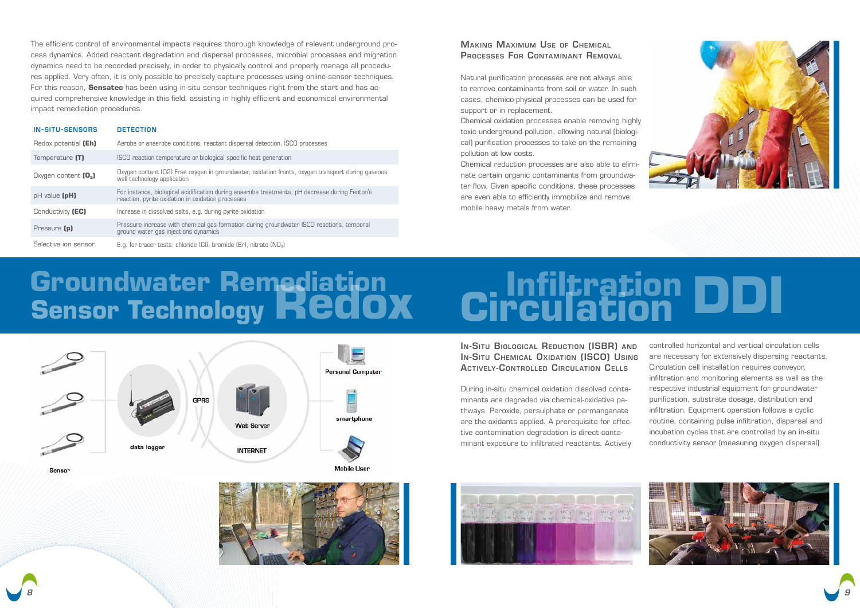## **Groundwater Remediation Infiltration Sensor Technology Redox Circulation DDI**



data logger





Sensor



During in-situ chemical oxidation dissolved contaminants are degraded via chemical-oxidative pathways. Peroxide, persulphate or permanganate are the oxidants applied. A prerequisite for effective contamination degradation is direct contaminant exposure to infiltrated reactants. Actively







In-Situ Biological Reduction (ISBR) and In-Situ Chemical Oxidation (ISCO) Using ACTIVELY-CONTROLLED CIRCULATION CELLS controlled horizontal and vertical circulation cells are necessary for extensively dispersing reactants. Circulation cell installation requires conveyor, infiltration and monitoring elements as well as the respective industrial equipment for groundwater purification, substrate dosage, distribution and infiltration. Equipment operation follows a cyclic routine, containing pulse infiltration, dispersal and incubation cycles that are controlled by an in-situ conductivity sensor (measuring oxygen dispersal).

## **MAKING MAXIMUM USE OF CHEMICAL** Processes For Contaminant Removal

| <b>IN-SITU-SENSORS</b> | <b>DETECTION</b>                                                                                                                                    |
|------------------------|-----------------------------------------------------------------------------------------------------------------------------------------------------|
| Redox potential (Eh)   | Aerobe or anaerobe conditions, reactant dispersal detection, ISCO processes                                                                         |
| Temperature (T)        | ISCO reaction temperature or biological specific heat generation                                                                                    |
| Oxygen content $[0,]$  | Oxygen content (O2) Free oxygen in groundwater, oxidation fronts, oxygen transport during gaseous<br>wall technology application                    |
| $pH$ value $(pH)$      | For instance, biological acidification during anaerobe treatments, pH decrease during Fenton's<br>reaction, pyrite oxidation in oxidation processes |
| Conductivity (EC)      | Increase in dissolved salts, e.g. during pyrite oxidation                                                                                           |
| Pressure (p)           | Pressure increase with chemical gas formation during groundwater ISCO reactions, temporal<br>ground water gas injections dynamics                   |
| Selective ion sensor   | E.g. for tracer tests: chloride $(Cl)$ , bromide $(Br)$ , nitrate $(NO3)$                                                                           |

The efficient control of environmental impacts requires thorough knowledge of relevant underground process dynamics. Added reactant degradation and dispersal processes, microbial processes and migration dynamics need to be recorded precisely, in order to physically control and properly manage all procedures applied. Very often, it is only possible to precisely capture processes using online-sensor techniques. For this reason, **Sensatec** has been using in-situ sensor techniques right from the start and has acquired comprehensive knowledge in this field, assisting in highly efficient and economical environmental impact remediation procedures.

Natural purification processes are not always able to remove contaminants from soil or water. In such cases, chemico-physical processes can be used for support or in replacement.

Chemical oxidation processes enable removing highly toxic underground pollution, allowing natural (biological) purification processes to take on the remaining pollution at low costs.

Chemical reduction processes are also able to eliminate certain organic contaminants from groundwater flow. Given specific conditions, these processes are even able to efficiently immobilize and remove mobile heavy metals from water.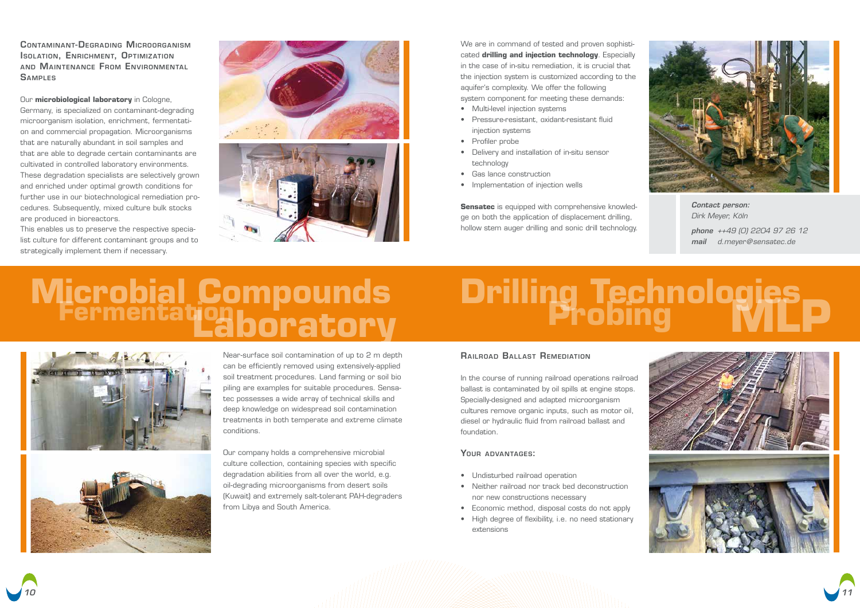Near-surface soil contamination of up to 2 m depth can be efficiently removed using extensively-applied soil treatment procedures. Land farming or soil bio piling are examples for suitable procedures. Sensatec possesses a wide array of technical skills and deep knowledge on widespread soil contamination treatments in both temperate and extreme climate conditions.

We are in command of tested and proven sophisticated **drilling and injection technology**. Especially in the case of in-situ remediation, it is crucial that the injection system is customized according to the aquifer's complexity. We offer the following system component for meeting these demands:

Our company holds a comprehensive microbial culture collection, containing species with specific degradation abilities from all over the world, e.g. oil-degrading microorganisms from desert soils (Kuwait) and extremely salt-tolerant PAH-degraders from Libya and South America.

- Multi-level injection systems
- Pressure-resistant, oxidant-resistant fluid injection systems
- Profiler probe
- Delivery and installation of in-situ sensor technology
- Gas lance construction
- Implementation of injection wells

**Sensatec** is equipped with comprehensive knowledge on both the application of displacement drilling, hollow stem auger drilling and sonic drill technology.

# **Microbial Compounds Drilling Technologies**<br>**Fermentation boratory** Probing MIL





Contaminant-Degrading Microorganism **ISOLATION, ENRICHMENT, OPTIMIZATION** and Maintenance From Environmental **SAMPLES** 

## Railroad Ball ast Remediation

In the course of running railroad operations railroad ballast is contaminated by oil spills at engine stops. Specially-designed and adapted microorganism cultures remove organic inputs, such as motor oil, diesel or hydraulic fluid from railroad ballast and foundation.

## YOUR ADVANTAGES:

- Undisturbed railroad operation
- Neither railroad nor track bed deconstruction nor new constructions necessary
- Economic method, disposal costs do not apply
- High degree of flexibility, i.e. no need stationary extensions



*Contact person: Dirk Meyer, Köln phone ++49 (0) 2204 97 26 12 mail d.meyer@sensatec.de*





Our **microbiological laboratory** in Cologne, Germany, is specialized on contaminant-degrading microorganism isolation, enrichment, fermentation and commercial propagation. Microorganisms that are naturally abundant in soil samples and that are able to degrade certain contaminants are cultivated in controlled laboratory environments. These degradation specialists are selectively grown and enriched under optimal growth conditions for further use in our biotechnological remediation procedures. Subsequently, mixed culture bulk stocks are produced in bioreactors.

This enables us to preserve the respective specialist culture for different contaminant groups and to strategically implement them if necessary.

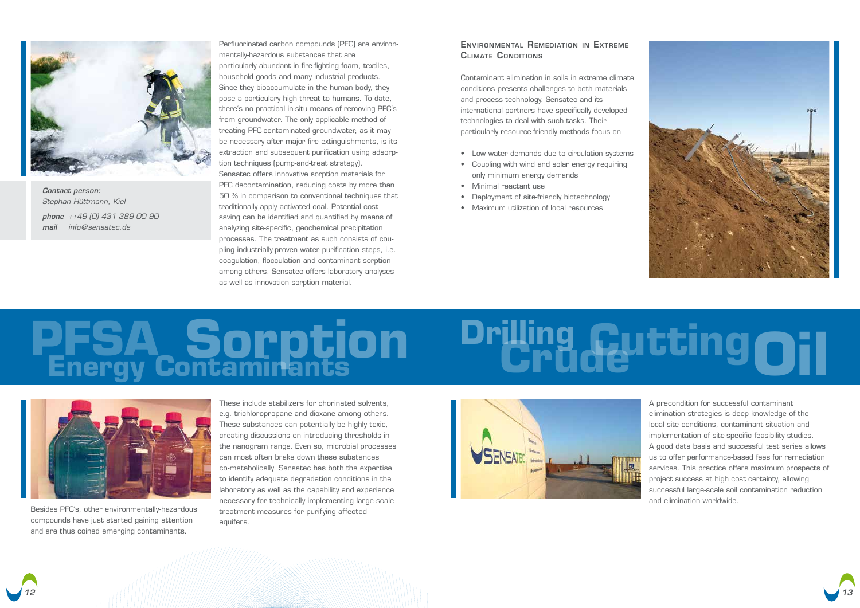

# **PFSA Drilling Energy Contaminants Sorption Crude Oil Cutting**





*Contact person: Stephan Hüttmann, Kiel phone ++49 (0) 431 389 00 90 mail info@sensatec.de*

Perfluorinated carbon compounds (PFC) are environmentally-hazardous substances that are particularly abundant in fire-fighting foam, textiles, household goods and many industrial products. Since they bioaccumulate in the human body, they pose a particulary high threat to humans. To date, there's no practical in-situ means of removing PFC's from groundwater. The only applicable method of treating PFC-contaminated groundwater, as it may be necessary after major fire extinguishments, is its extraction and subsequent purification using adsorption techniques (pump-and-treat strategy). Sensatec offers innovative sorption materials for PFC decontamination, reducing costs by more than 50 % in comparison to conventional techniques that traditionally apply activated coal. Potential cost saving can be identified and quantified by means of analyzing site-specific, geochemical precipitation processes. The treatment as such consists of coupling industrially-proven water purification steps, i.e. coagulation, flocculation and contaminant sorption among others. Sensatec offers laboratory analyses as well as innovation sorption material.

## ENVIRONMENTAL REMEDIATION IN EXTREME **CLIMATE CONDITIONS**

Besides PFC's, other environmentally-hazardous compounds have just started gaining attention and are thus coined emerging contaminants.

These include stabilizers for chorinated solvents, e.g. trichloropropane and dioxane among others. These substances can potentially be highly toxic, creating discussions on introducing thresholds in the nanogram range. Even so, microbial processes can most often brake down these substances co-metabolically. Sensatec has both the expertise to identify adequate degradation conditions in the laboratory as well as the capability and experience necessary for technically implementing large-scale treatment measures for purifying affected aquifers.





Contaminant elimination in soils in extreme climate conditions presents challenges to both materials and process technology. Sensatec and its international partners have specifically developed technologies to deal with such tasks. Their particularly resource-friendly methods focus on

- Low water demands due to circulation systems
- Coupling with wind and solar energy requiring only minimum energy demands
- Minimal reactant use
- Deployment of site-friendly biotechnology
- Maximum utilization of local resources

A precondition for successful contaminant elimination strategies is deep knowledge of the local site conditions, contaminant situation and implementation of site-specific feasibility studies. A good data basis and successful test series allows us to offer performance-based fees for remediation services. This practice offers maximum prospects of project success at high cost certainty, allowing successful large-scale soil contamination reduction and elimination worldwide.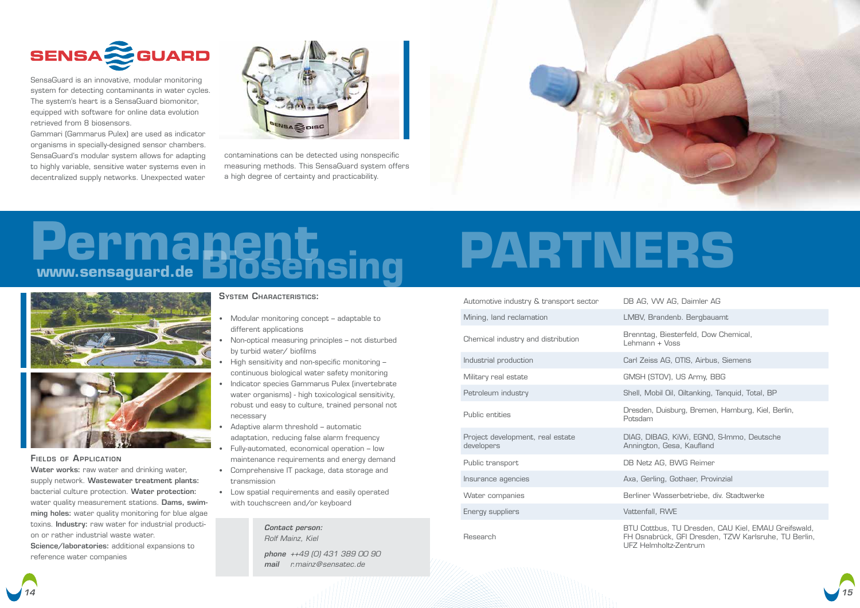

# **www.sensaguard.de Biosensing Permanent PARTNERS**







SensaGuard is an innovative, modular monitoring system for detecting contaminants in water cycles. The system's heart is a SensaGuard biomonitor, equipped with software for online data evolution retrieved from 8 biosensors.

Gammari (Gammarus Pulex) are used as indicator organisms in specially-designed sensor chambers. SensaGuard's modular system allows for adapting to highly variable, sensitive water systems even in decentralized supply networks. Unexpected water



Water works: raw water and drinking water, supply network. Wastewater treatment plants: bacterial culture protection. Water protection: water quality measurement stations. **Dams, swim**ming holes: water quality monitoring for blue algae toxins. Industry: raw water for industrial production or rather industrial waste water.

contaminations can be detected using nonspecific measuring methods. This SensaGuard system offers a high degree of certainty and practicability.



## Fields of Application

Science/laboratories: additional expansions to reference water companies

## **SYSTEM CHARACTERISTICS:**

DIAG, DIBAG, KiWi, EGNO, S-Immo, Deutsche ton, Gesa, Kaufland

tz AG, BWG Reimer

erling, Gothaer, Provinzial

ottbus, TU Dresden, CAU Kiel, EMAU Greifswald, rabrück, GFI Dresden, TZW Karlsruhe, TU Berlin, UFZ Helmholtz-Zentrum

- **•** Modular monitoring concept adaptable to different applications
- **•** Non-optical measuring principles not disturbed by turbid water/ biofilms
- **•** High sensitivity and non-specific monitoring continuous biological water safety monitoring
- **•** Indicator species Gammarus Pulex (invertebrate water organisms) - high toxicological sensitivity, robust und easy to culture, trained personal not necessary
- **•** Adaptive alarm threshold automatic adaptation, reducing false alarm frequency
- **•** Fully-automated, economical operation low maintenance requirements and energy demand
- **•** Comprehensive IT package, data storage and transmission
- **•** Low spatial requirements and easily operated with touchscreen and/or keyboard

| Automotive industry & transport sector         | DB AG, \                                  |
|------------------------------------------------|-------------------------------------------|
| Mining, land reclamation                       | LMBV, B                                   |
| Chemical industry and distribution             | <b>Brenntag</b><br>Lehmanr                |
| Industrial production                          | Carl Zeis                                 |
| Military real estate                           | GMSH (S                                   |
| Petroleum industry                             | Shell, Mo                                 |
| Public entities                                | Dresden,<br>Potsdam                       |
| Project development, real estate<br>developers | DIAG, DI<br>Anningto                      |
| Public transport                               | <b>DB Netz</b>                            |
| Insurance agencies                             | Axa, Ger                                  |
| Water companies                                | <b>Berliner</b>                           |
| Energy suppliers                               | Vattenfal                                 |
| Research                                       | <b>BTU Cot</b><br>FH Osna<br>I IF7 I I.I. |



VW AG, Daimler AG

Brandenb. Bergbauamt

ag, Biesterfeld, Dow Chemical,  $nn + V$ oss

eiss AG, OTIS, Airbus, Siemens

(STOV), US Army, BBG

Mobil Oil, Oiltanking, Tanguid, Total, BP

 $n,$  Duisburg, Bremen, Hamburg, Kiel, Berlin,

Water companies Berliner Wasserbetriebe, div. Stadtwerke

fall, RWE

*Contact person: Rolf Mainz, Kiel phone ++49 (0) 431 389 00 90 mail r.mainz@sensatec.de*